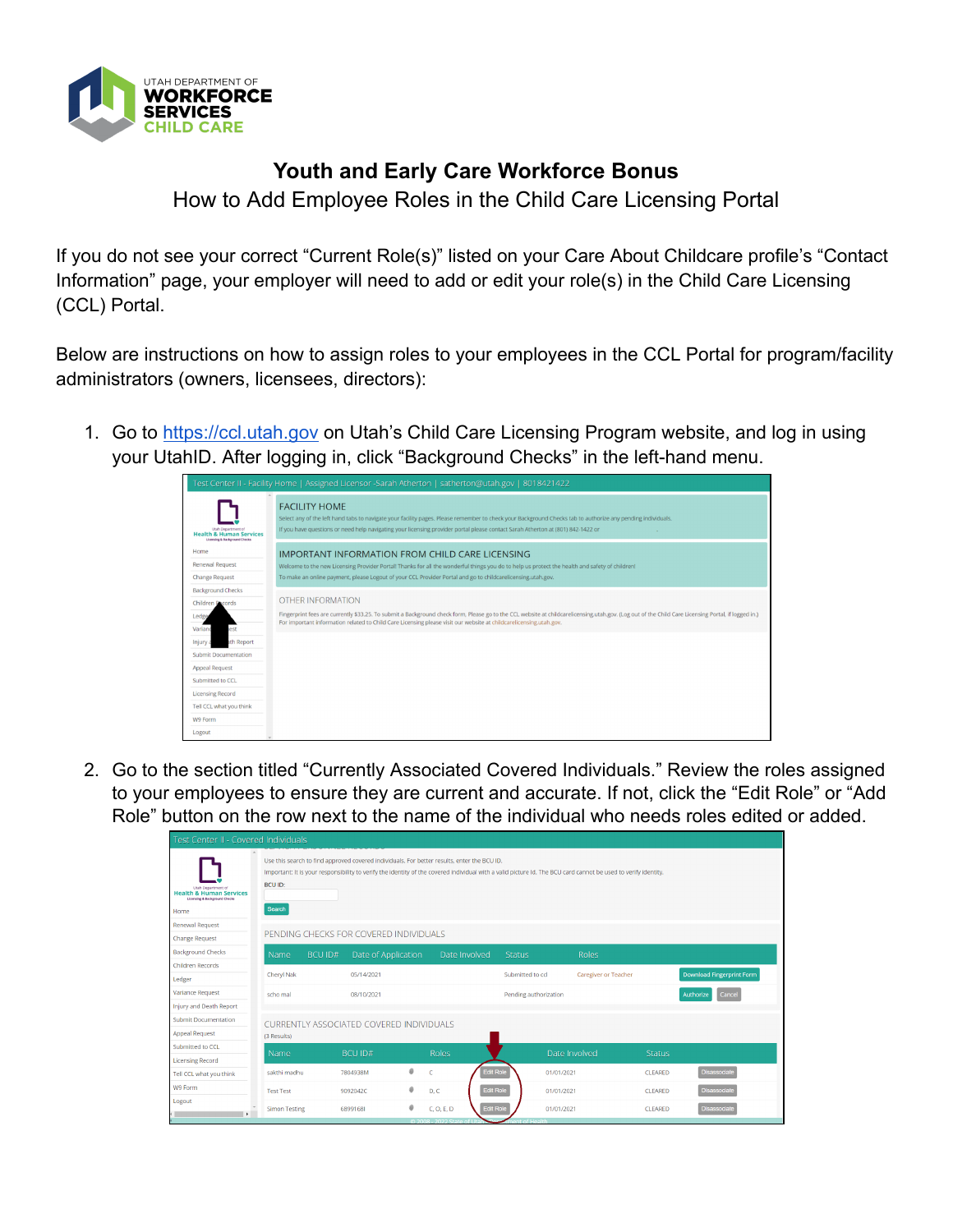

## **Youth and Early Care Workforce Bonus**

How to Add Employee Roles in the Child Care Licensing Portal

If you do not see your correct "Current Role(s)" listed on your Care About Childcare profile's "Contact Information" page, your employer will need to add or edit your role(s) in the Child Care Licensing (CCL) Portal.

Below are instructions on how to assign roles to your employees in the CCL Portal for program/facility administrators (owners, licensees, directors):

1. Go to [https://ccl.utah.gov](https://cac.utah.gov/) on Utah's Child Care Licensing Program website, and log in using your UtahID. After logging in, click "Background Checks" in the left-hand menu.

|                                                                                                      | Test Center II - Facility Home   Assigned Licensor -Sarah Atherton   satherton@utah.gov   8018421422                                                                                                                                                                                                                      |
|------------------------------------------------------------------------------------------------------|---------------------------------------------------------------------------------------------------------------------------------------------------------------------------------------------------------------------------------------------------------------------------------------------------------------------------|
| Utah Department of<br><b>Health &amp; Human Services</b><br><b>Licensing &amp; Background Checks</b> | <b>FACILITY HOME</b><br>Select any of the left hand tabs to navigate your facility pages. Please remember to check your Background Checks tab to authorize any pending individuals.<br>If you have questions or need help navigating your licensing provider portal please contact Sarah Atherton at (801) 842-1422 or    |
| Home                                                                                                 | IMPORTANT INFORMATION FROM CHILD CARE LICENSING                                                                                                                                                                                                                                                                           |
| <b>Renewal Request</b>                                                                               | Welcome to the new Licensing Provider Portal! Thanks for all the wonderful things you do to help us protect the health and safety of children!                                                                                                                                                                            |
| <b>Change Request</b>                                                                                | To make an online payment, please Logout of your CCL Provider Portal and go to childcarelicensing.utah.gov.                                                                                                                                                                                                               |
| <b>Background Checks</b>                                                                             |                                                                                                                                                                                                                                                                                                                           |
| <b>Children Decords</b>                                                                              | OTHER INFORMATION                                                                                                                                                                                                                                                                                                         |
| Ledge                                                                                                | Fingerprint fees are currently \$33.25. To submit a Background check form, Please go to the CCL website at childcarelicensing,utah.gov. (Log out of the Child Care Licensing Portal, if logged in.)<br>For important information related to Child Care Licensing please visit our website at childcarelicensing.utah.gov. |
| Variand<br>est                                                                                       |                                                                                                                                                                                                                                                                                                                           |
| th Report<br>Injury a                                                                                |                                                                                                                                                                                                                                                                                                                           |
| <b>Submit Documentation</b>                                                                          |                                                                                                                                                                                                                                                                                                                           |
| <b>Appeal Request</b>                                                                                |                                                                                                                                                                                                                                                                                                                           |
| Submitted to CCL                                                                                     |                                                                                                                                                                                                                                                                                                                           |
| <b>Licensing Record</b>                                                                              |                                                                                                                                                                                                                                                                                                                           |
| Tell CCL what you think                                                                              |                                                                                                                                                                                                                                                                                                                           |
| W9 Form                                                                                              |                                                                                                                                                                                                                                                                                                                           |
| Logout                                                                                               |                                                                                                                                                                                                                                                                                                                           |

2. Go to the section titled "Currently Associated Covered Individuals." Review the roles assigned to your employees to ensure they are current and accurate. If not, click the "Edit Role" or "Add Role" button on the row next to the name of the individual who needs roles edited or added.

|                                                                                                              | Test Center II - Covered Individuals |                                                                                                                                                                                                                                                                                           |                |                     |  |   |              |                  |                  |                       |                             |                |                                  |
|--------------------------------------------------------------------------------------------------------------|--------------------------------------|-------------------------------------------------------------------------------------------------------------------------------------------------------------------------------------------------------------------------------------------------------------------------------------------|----------------|---------------------|--|---|--------------|------------------|------------------|-----------------------|-----------------------------|----------------|----------------------------------|
| Utah Department of<br><b>Health &amp; Human Services</b><br><b>Licensing &amp; Background Checks</b><br>Home |                                      | Use this search to find approved covered individuals. For better results, enter the BCU ID,<br>Important: It is your responsibility to verify the identity of the covered individual with a valid picture Id. The BCU card cannot be used to verify identity.<br><b>BCU ID:</b><br>Search |                |                     |  |   |              |                  |                  |                       |                             |                |                                  |
| <b>Renewal Request</b>                                                                                       |                                      |                                                                                                                                                                                                                                                                                           |                |                     |  |   |              |                  |                  |                       |                             |                |                                  |
| <b>Change Request</b>                                                                                        |                                      | PENDING CHECKS FOR COVERED INDIVIDUALS                                                                                                                                                                                                                                                    |                |                     |  |   |              |                  |                  |                       |                             |                |                                  |
| <b>Background Checks</b>                                                                                     |                                      | Name                                                                                                                                                                                                                                                                                      | <b>BCU ID#</b> | Date of Application |  |   |              | Date Involved    | <b>Status</b>    |                       | <b>Roles</b>                |                |                                  |
| <b>Children Records</b>                                                                                      |                                      |                                                                                                                                                                                                                                                                                           |                |                     |  |   |              |                  |                  |                       |                             |                |                                  |
| Ledger                                                                                                       |                                      | Cheryl Nak                                                                                                                                                                                                                                                                                |                | 05/14/2021          |  |   |              |                  | Submitted to ccl |                       | <b>Caregiver or Teacher</b> |                | <b>Download Fingerprint Form</b> |
| Variance Request                                                                                             |                                      | scho mal                                                                                                                                                                                                                                                                                  |                | 08/10/2021          |  |   |              |                  |                  | Pending authorization |                             |                | Cancel<br>Authorize              |
| Injury and Death Report                                                                                      |                                      |                                                                                                                                                                                                                                                                                           |                |                     |  |   |              |                  |                  |                       |                             |                |                                  |
| <b>Submit Documentation</b>                                                                                  |                                      | CURRENTLY ASSOCIATED COVERED INDIVIDUALS                                                                                                                                                                                                                                                  |                |                     |  |   |              |                  |                  |                       |                             |                |                                  |
| <b>Appeal Request</b>                                                                                        |                                      | (3 Results)                                                                                                                                                                                                                                                                               |                |                     |  |   |              |                  |                  |                       |                             |                |                                  |
| Submitted to CCL                                                                                             |                                      | Name                                                                                                                                                                                                                                                                                      |                | <b>BCU ID#</b>      |  |   | <b>Roles</b> |                  |                  | Date Involved         |                             | <b>Status</b>  |                                  |
| <b>Licensing Record</b>                                                                                      |                                      |                                                                                                                                                                                                                                                                                           |                |                     |  |   |              |                  |                  |                       |                             |                |                                  |
| Tell CCL what you think                                                                                      |                                      | sakthi madhu                                                                                                                                                                                                                                                                              |                | 7804938M            |  | ø | $\epsilon$   | <b>Edit Role</b> |                  | 01/01/2021            |                             | CLEARED        | <b>Disassociate</b>              |
| W9 Form                                                                                                      |                                      | <b>Test Test</b>                                                                                                                                                                                                                                                                          |                | 9092042C            |  | 0 | D, C         | <b>Edit Role</b> |                  | 01/01/2021            |                             | <b>CLEARED</b> | <b>Disassociate</b>              |
| Logout<br>$\mathbf{r}$                                                                                       |                                      | <b>Simon Testing</b>                                                                                                                                                                                                                                                                      |                | 68991681            |  | 0 | C. O. E. D.  | <b>Edit Role</b> |                  | 01/01/2021            |                             | <b>CLEARED</b> | <b>Disassociate</b>              |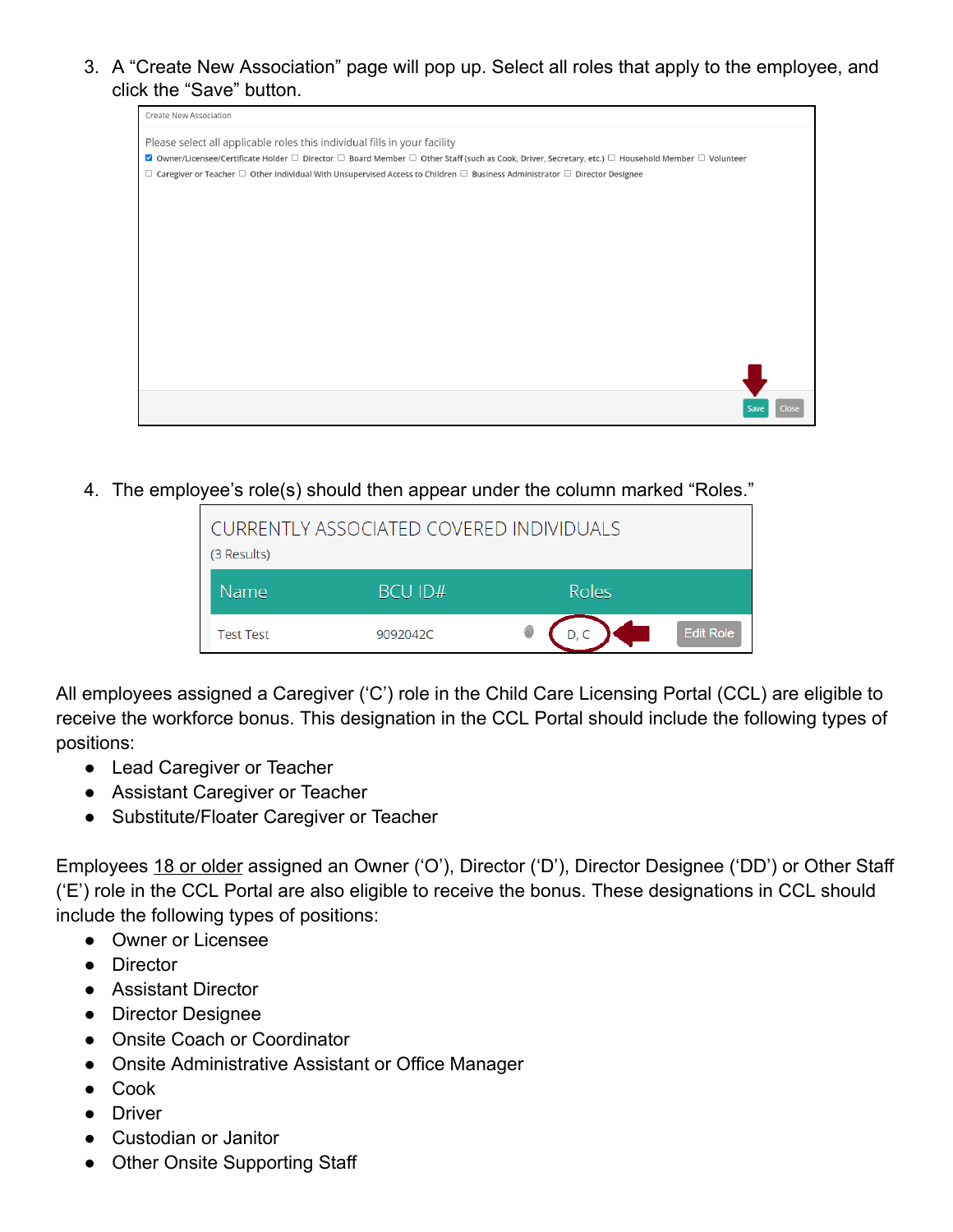3. A "Create New Association" page will pop up. Select all roles that apply to the employee, and click the "Save" button.

| Create New Association                                                                                                                                                           |  |
|----------------------------------------------------------------------------------------------------------------------------------------------------------------------------------|--|
| Please select all applicable roles this individual fills in your facility                                                                                                        |  |
| $\Box$ Owner/Licensee/Certificate Holder $\Box$ Director $\Box$ Board Member $\Box$ Other Staff (such as Cook, Driver, Secretary, etc.) $\Box$ Household Member $\Box$ Volunteer |  |
| $\Box$ Caregiver or Teacher $\Box$ Other Individual With Unsupervised Access to Children $\Box$ Business Administrator $\Box$ Director Designee                                  |  |
|                                                                                                                                                                                  |  |
|                                                                                                                                                                                  |  |
|                                                                                                                                                                                  |  |
|                                                                                                                                                                                  |  |
|                                                                                                                                                                                  |  |
|                                                                                                                                                                                  |  |
|                                                                                                                                                                                  |  |
|                                                                                                                                                                                  |  |
|                                                                                                                                                                                  |  |
|                                                                                                                                                                                  |  |
|                                                                                                                                                                                  |  |
|                                                                                                                                                                                  |  |
|                                                                                                                                                                                  |  |
|                                                                                                                                                                                  |  |
|                                                                                                                                                                                  |  |

4. The employee's role(s) should then appear under the column marked "Roles."

| CURRENTLY ASSOCIATED COVERED INDIVIDUALS<br>(3 Results) |                |       |                  |  |  |  |  |
|---------------------------------------------------------|----------------|-------|------------------|--|--|--|--|
| Name                                                    | <b>BCU ID#</b> | Roles |                  |  |  |  |  |
| <b>Test Test</b>                                        | 9092042C       |       | <b>Edit Role</b> |  |  |  |  |

All employees assigned a Caregiver ('C') role in the Child Care Licensing Portal (CCL) are eligible to receive the workforce bonus. This designation in the CCL Portal should include the following types of positions:

- Lead Caregiver or Teacher
- Assistant Caregiver or Teacher
- Substitute/Floater Caregiver or Teacher

Employees 18 or older assigned an Owner ('O'), Director ('D'), Director Designee ('DD') or Other Staff ('E') role in the CCL Portal are also eligible to receive the bonus. These designations in CCL should include the following types of positions:

- Owner or Licensee
- Director
- Assistant Director
- Director Designee
- Onsite Coach or Coordinator
- Onsite Administrative Assistant or Office Manager
- Cook
- Driver
- Custodian or Janitor
- Other Onsite Supporting Staff